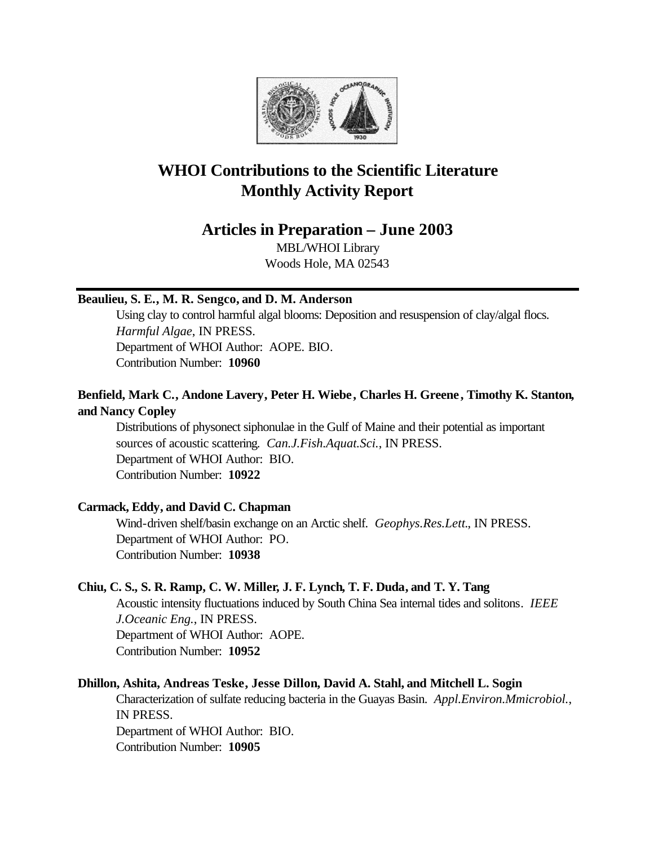

## **WHOI Contributions to the Scientific Literature Monthly Activity Report**

## **Articles in Preparation – June 2003**

MBL/WHOI Library Woods Hole, MA 02543

## **Beaulieu, S. E., M. R. Sengco, and D. M. Anderson**

Using clay to control harmful algal blooms: Deposition and resuspension of clay/algal flocs. *Harmful Algae*, IN PRESS. Department of WHOI Author: AOPE. BIO. Contribution Number: **10960**

## **Benfield, Mark C., Andone Lavery, Peter H. Wiebe, Charles H. Greene, Timothy K. Stanton, and Nancy Copley**

Distributions of physonect siphonulae in the Gulf of Maine and their potential as important sources of acoustic scattering. *Can.J.Fish.Aquat.Sci.*, IN PRESS. Department of WHOI Author: BIO. Contribution Number: **10922**

## **Carmack, Eddy, and David C. Chapman**

Wind-driven shelf/basin exchange on an Arctic shelf. *Geophys.Res.Lett.*, IN PRESS. Department of WHOI Author: PO. Contribution Number: **10938**

## **Chiu, C. S., S. R. Ramp, C. W. Miller, J. F. Lynch, T. F. Duda, and T. Y. Tang**

Acoustic intensity fluctuations induced by South China Sea internal tides and solitons. *IEEE J.Oceanic Eng.*, IN PRESS. Department of WHOI Author: AOPE. Contribution Number: **10952**

## **Dhillon, Ashita, Andreas Teske, Jesse Dillon, David A. Stahl, and Mitchell L. Sogin**

Characterization of sulfate reducing bacteria in the Guayas Basin. *Appl.Environ.Mmicrobiol.*, IN PRESS. Department of WHOI Author: BIO. Contribution Number: **10905**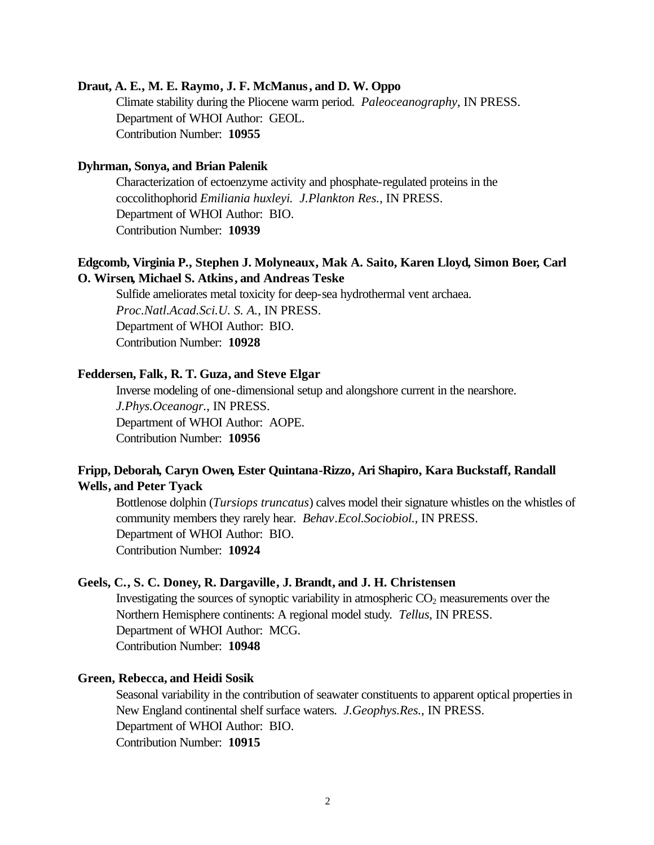#### **Draut, A. E., M. E. Raymo, J. F. McManus, and D. W. Oppo**

Climate stability during the Pliocene warm period. *Paleoceanography*, IN PRESS. Department of WHOI Author: GEOL. Contribution Number: **10955**

#### **Dyhrman, Sonya, and Brian Palenik**

Characterization of ectoenzyme activity and phosphate-regulated proteins in the coccolithophorid *Emiliania huxleyi. J.Plankton Res.*, IN PRESS. Department of WHOI Author: BIO. Contribution Number: **10939**

## **Edgcomb, Virginia P., Stephen J. Molyneaux, Mak A. Saito, Karen Lloyd, Simon Boer, Carl O. Wirsen, Michael S. Atkins, and Andreas Teske**

Sulfide ameliorates metal toxicity for deep-sea hydrothermal vent archaea. *Proc.Natl.Acad.Sci.U. S. A.*, IN PRESS. Department of WHOI Author: BIO. Contribution Number: **10928**

#### **Feddersen, Falk, R. T. Guza, and Steve Elgar**

Inverse modeling of one-dimensional setup and alongshore current in the nearshore. *J.Phys.Oceanogr.*, IN PRESS. Department of WHOI Author: AOPE. Contribution Number: **10956**

## **Fripp, Deborah, Caryn Owen, Ester Quintana-Rizzo, Ari Shapiro, Kara Buckstaff, Randall Wells, and Peter Tyack**

Bottlenose dolphin (*Tursiops truncatus*) calves model their signature whistles on the whistles of community members they rarely hear. *Behav.Ecol.Sociobiol.*, IN PRESS. Department of WHOI Author: BIO. Contribution Number: **10924**

#### **Geels, C., S. C. Doney, R. Dargaville, J. Brandt, and J. H. Christensen**

Investigating the sources of synoptic variability in atmospheric  $CO<sub>2</sub>$  measurements over the Northern Hemisphere continents: A regional model study. *Tellus*, IN PRESS. Department of WHOI Author: MCG. Contribution Number: **10948**

#### **Green, Rebecca, and Heidi Sosik**

Seasonal variability in the contribution of seawater constituents to apparent optical properties in New England continental shelf surface waters. *J.Geophys.Res.*, IN PRESS. Department of WHOI Author: BIO. Contribution Number: **10915**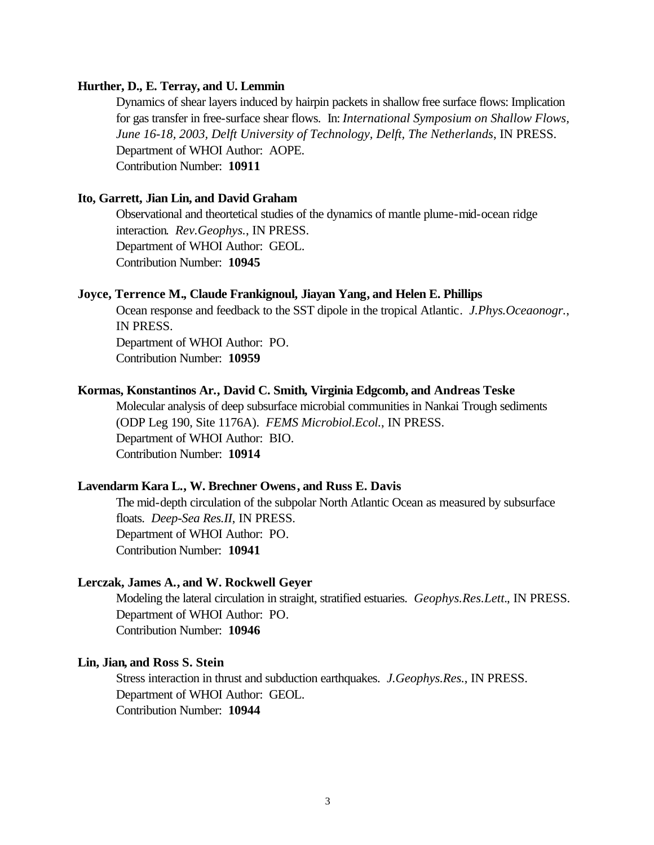#### **Hurther, D., E. Terray, and U. Lemmin**

Dynamics of shear layers induced by hairpin packets in shallow free surface flows: Implication for gas transfer in free-surface shear flows. In: *International Symposium on Shallow Flows, June 16-18, 2003, Delft University of Technology, Delft, The Netherlands*, IN PRESS. Department of WHOI Author: AOPE. Contribution Number: **10911**

#### **Ito, Garrett, Jian Lin, and David Graham**

Observational and theortetical studies of the dynamics of mantle plume-mid-ocean ridge interaction. *Rev.Geophys.*, IN PRESS. Department of WHOI Author: GEOL. Contribution Number: **10945**

#### **Joyce, Terrence M., Claude Frankignoul, Jiayan Yang, and Helen E. Phillips**

Ocean response and feedback to the SST dipole in the tropical Atlantic. *J.Phys.Oceaonogr.*, IN PRESS.

Department of WHOI Author: PO. Contribution Number: **10959**

# **Kormas, Konstantinos Ar., David C. Smith, Virginia Edgcomb, and Andreas Teske**

Molecular analysis of deep subsurface microbial communities in Nankai Trough sediments (ODP Leg 190, Site 1176A). *FEMS Microbiol.Ecol.*, IN PRESS. Department of WHOI Author: BIO. Contribution Number: **10914**

#### **Lavendarm Kara L., W. Brechner Owens, and Russ E. Davis**

The mid-depth circulation of the subpolar North Atlantic Ocean as measured by subsurface floats. *Deep-Sea Res.II*, IN PRESS. Department of WHOI Author: PO. Contribution Number: **10941**

#### **Lerczak, James A., and W. Rockwell Geyer**

Modeling the lateral circulation in straight, stratified estuaries. *Geophys.Res.Lett.*, IN PRESS. Department of WHOI Author: PO. Contribution Number: **10946**

#### **Lin, Jian, and Ross S. Stein**

Stress interaction in thrust and subduction earthquakes. *J.Geophys.Res.*, IN PRESS. Department of WHOI Author: GEOL. Contribution Number: **10944**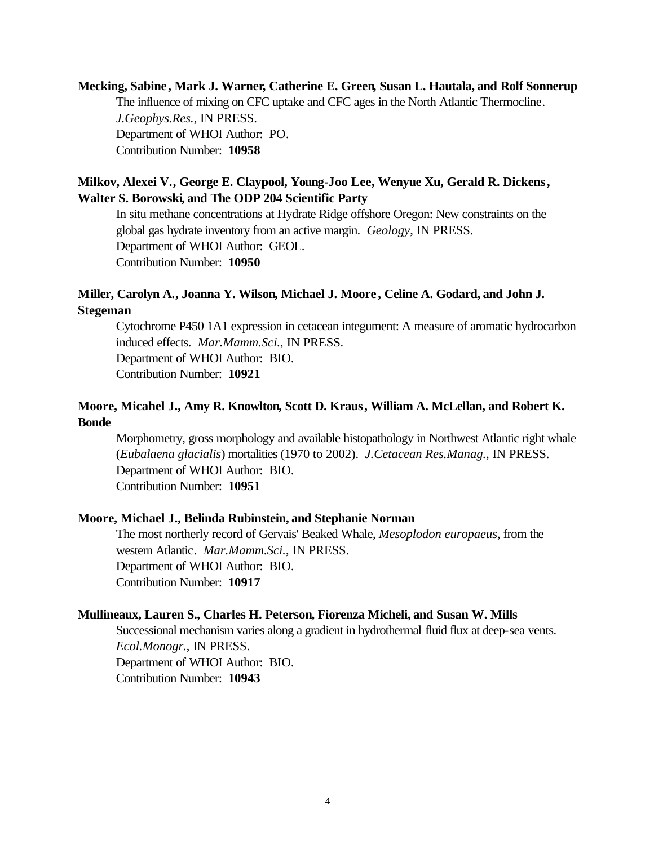**Mecking, Sabine , Mark J. Warner, Catherine E. Green, Susan L. Hautala, and Rolf Sonnerup** The influence of mixing on CFC uptake and CFC ages in the North Atlantic Thermocline. *J.Geophys.Res.*, IN PRESS. Department of WHOI Author: PO. Contribution Number: **10958**

## **Milkov, Alexei V., George E. Claypool, Young-Joo Lee, Wenyue Xu, Gerald R. Dickens, Walter S. Borowski, and The ODP 204 Scientific Party**

In situ methane concentrations at Hydrate Ridge offshore Oregon: New constraints on the global gas hydrate inventory from an active margin. *Geology*, IN PRESS. Department of WHOI Author: GEOL. Contribution Number: **10950**

## **Miller, Carolyn A., Joanna Y. Wilson, Michael J. Moore , Celine A. Godard, and John J. Stegeman**

Cytochrome P450 1A1 expression in cetacean integument: A measure of aromatic hydrocarbon induced effects. *Mar.Mamm.Sci.*, IN PRESS. Department of WHOI Author: BIO. Contribution Number: **10921**

## **Moore, Micahel J., Amy R. Knowlton, Scott D. Kraus, William A. McLellan, and Robert K. Bonde**

Morphometry, gross morphology and available histopathology in Northwest Atlantic right whale (*Eubalaena glacialis*) mortalities (1970 to 2002). *J.Cetacean Res.Manag.*, IN PRESS. Department of WHOI Author: BIO. Contribution Number: **10951**

## **Moore, Michael J., Belinda Rubinstein, and Stephanie Norman**

The most northerly record of Gervais' Beaked Whale, *Mesoplodon europaeus*, from the western Atlantic. *Mar.Mamm.Sci.*, IN PRESS. Department of WHOI Author: BIO. Contribution Number: **10917**

#### **Mullineaux, Lauren S., Charles H. Peterson, Fiorenza Micheli, and Susan W. Mills**

Successional mechanism varies along a gradient in hydrothermal fluid flux at deep-sea vents. *Ecol.Monogr.*, IN PRESS. Department of WHOI Author: BIO. Contribution Number: **10943**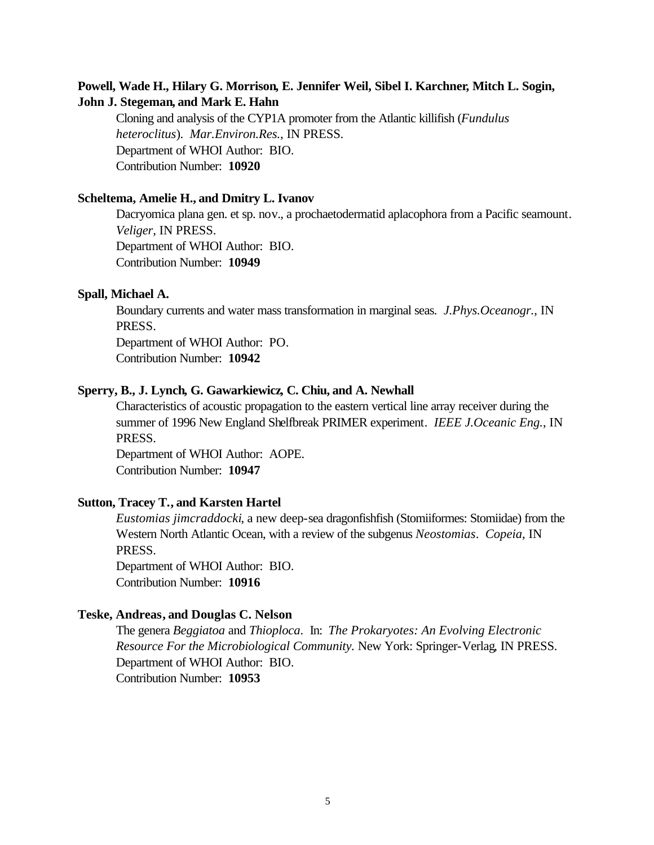## **Powell, Wade H., Hilary G. Morrison, E. Jennifer Weil, Sibel I. Karchner, Mitch L. Sogin, John J. Stegeman, and Mark E. Hahn**

Cloning and analysis of the CYP1A promoter from the Atlantic killifish (*Fundulus heteroclitus*). *Mar.Environ.Res.*, IN PRESS. Department of WHOI Author: BIO. Contribution Number: **10920**

#### **Scheltema, Amelie H., and Dmitry L. Ivanov**

Dacryomica plana gen. et sp. nov., a prochaetodermatid aplacophora from a Pacific seamount. *Veliger*, IN PRESS. Department of WHOI Author: BIO. Contribution Number: **10949**

#### **Spall, Michael A.**

Boundary currents and water mass transformation in marginal seas. *J.Phys.Oceanogr.*, IN PRESS.

Department of WHOI Author: PO.

Contribution Number: **10942**

#### **Sperry, B., J. Lynch, G. Gawarkiewicz, C. Chiu, and A. Newhall**

Characteristics of acoustic propagation to the eastern vertical line array receiver during the summer of 1996 New England Shelfbreak PRIMER experiment. *IEEE J.Oceanic Eng.*, IN PRESS.

Department of WHOI Author: AOPE. Contribution Number: **10947**

#### **Sutton, Tracey T., and Karsten Hartel**

*Eustomias jimcraddocki*, a new deep-sea dragonfishfish (Stomiiformes: Stomiidae) from the Western North Atlantic Ocean, with a review of the subgenus *Neostomias*. *Copeia*, IN PRESS.

Department of WHOI Author: BIO. Contribution Number: **10916**

#### **Teske, Andreas, and Douglas C. Nelson**

The genera *Beggiatoa* and *Thioploca*. In: *The Prokaryotes: An Evolving Electronic Resource For the Microbiological Community.* New York: Springer-Verlag, IN PRESS. Department of WHOI Author: BIO. Contribution Number: **10953**